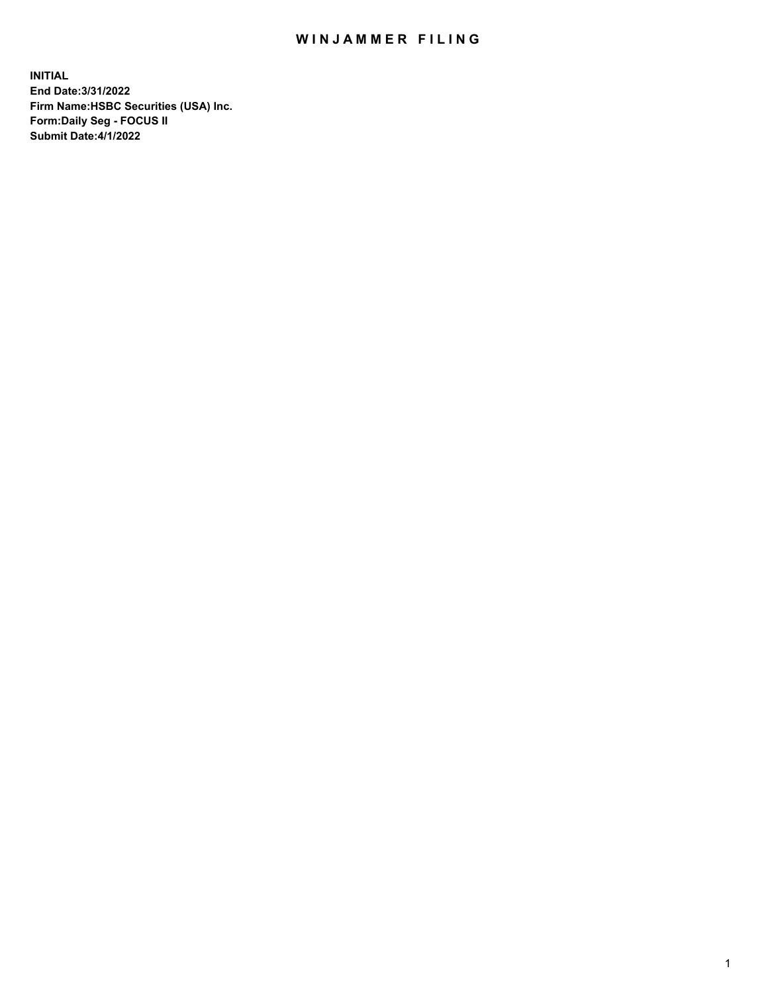## WIN JAMMER FILING

**INITIAL End Date:3/31/2022 Firm Name:HSBC Securities (USA) Inc. Form:Daily Seg - FOCUS II Submit Date:4/1/2022**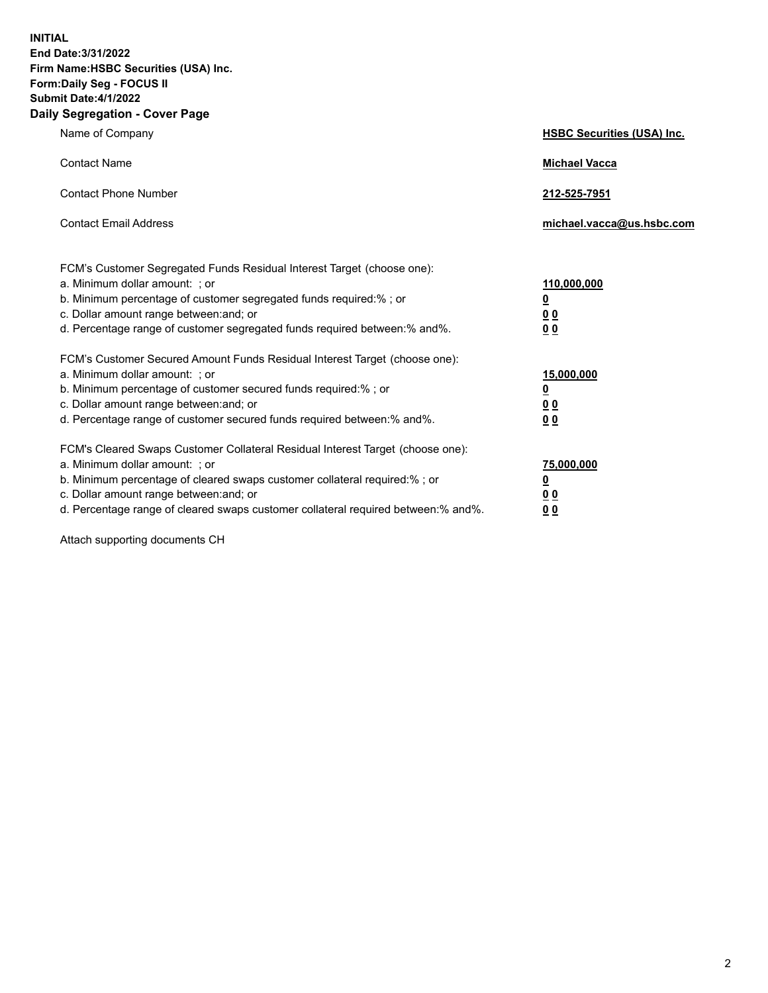**INITIAL End Date:3/31/2022 Firm Name:HSBC Securities (USA) Inc. Form:Daily Seg - FOCUS II Submit Date:4/1/2022 Daily Segregation - Cover Page**

| Name of Company                                                                                                                                                                                                                                                                                                               | <b>HSBC Securities (USA) Inc.</b>                          |
|-------------------------------------------------------------------------------------------------------------------------------------------------------------------------------------------------------------------------------------------------------------------------------------------------------------------------------|------------------------------------------------------------|
| <b>Contact Name</b>                                                                                                                                                                                                                                                                                                           | <b>Michael Vacca</b>                                       |
| <b>Contact Phone Number</b>                                                                                                                                                                                                                                                                                                   | 212-525-7951                                               |
| <b>Contact Email Address</b>                                                                                                                                                                                                                                                                                                  | michael.vacca@us.hsbc.com                                  |
| FCM's Customer Segregated Funds Residual Interest Target (choose one):<br>a. Minimum dollar amount: ; or<br>b. Minimum percentage of customer segregated funds required:%; or<br>c. Dollar amount range between: and; or<br>d. Percentage range of customer segregated funds required between:% and%.                         | 110,000,000<br><u>0</u><br>0 <sub>0</sub><br>00            |
| FCM's Customer Secured Amount Funds Residual Interest Target (choose one):<br>a. Minimum dollar amount: ; or<br>b. Minimum percentage of customer secured funds required:%; or<br>c. Dollar amount range between: and; or<br>d. Percentage range of customer secured funds required between: % and %.                         | 15,000,000<br><u>0</u><br>0 <sub>0</sub><br>0 <sub>0</sub> |
| FCM's Cleared Swaps Customer Collateral Residual Interest Target (choose one):<br>a. Minimum dollar amount: ; or<br>b. Minimum percentage of cleared swaps customer collateral required:%; or<br>c. Dollar amount range between: and; or<br>d. Percentage range of cleared swaps customer collateral required between:% and%. | 75,000,000<br><u>0</u><br><u>00</u><br>00                  |

Attach supporting documents CH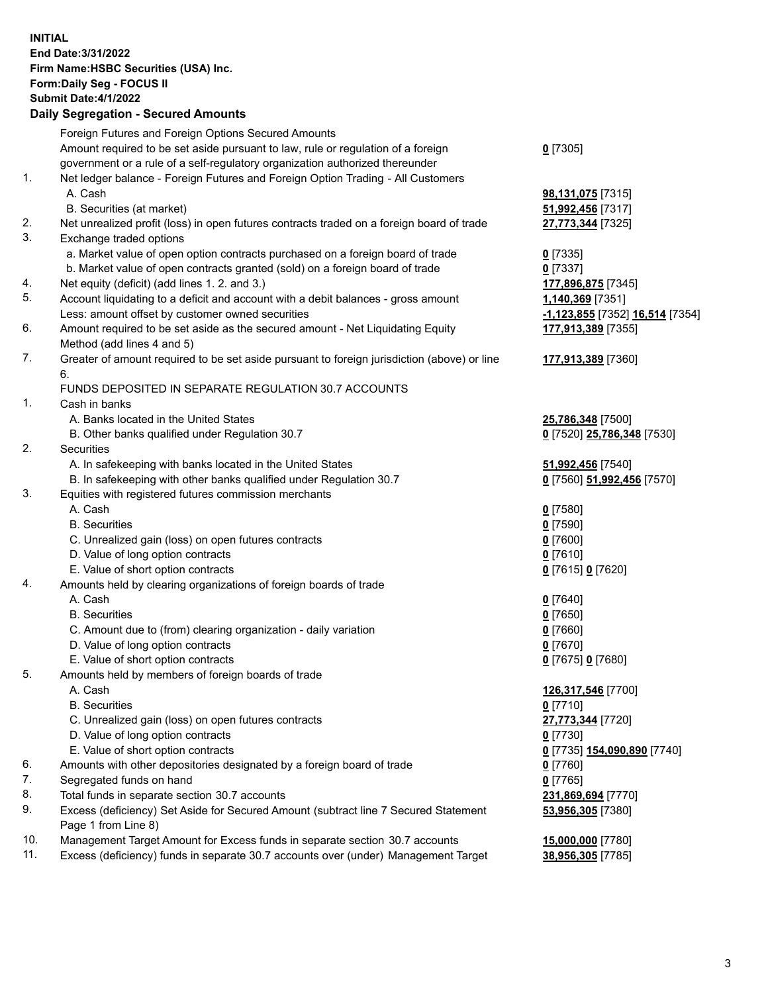**INITIAL End Date:3/31/2022 Firm Name:HSBC Securities (USA) Inc. Form:Daily Seg - FOCUS II Submit Date:4/1/2022 Daily Segregation - Secured Amounts** Foreign Futures and Foreign Options Secured Amounts Amount required to be set aside pursuant to law, rule or regulation of a foreign government or a rule of a self-regulatory organization authorized thereunder **0** [7305] 1. Net ledger balance - Foreign Futures and Foreign Option Trading - All Customers A. Cash **98,131,075** [7315] B. Securities (at market) **51,992,456** [7317] 2. Net unrealized profit (loss) in open futures contracts traded on a foreign board of trade **27,773,344** [7325] 3. Exchange traded options a. Market value of open option contracts purchased on a foreign board of trade **0** [7335] b. Market value of open contracts granted (sold) on a foreign board of trade **0** [7337] 4. Net equity (deficit) (add lines 1. 2. and 3.) **177,896,875** [7345] 5. Account liquidating to a deficit and account with a debit balances - gross amount **1,140,369** [7351] Less: amount offset by customer owned securities **-1,123,855** [7352] **16,514** [7354] 6. Amount required to be set aside as the secured amount - Net Liquidating Equity Method (add lines 4 and 5) **177,913,389** [7355] 7. Greater of amount required to be set aside pursuant to foreign jurisdiction (above) or line 6. **177,913,389** [7360] FUNDS DEPOSITED IN SEPARATE REGULATION 30.7 ACCOUNTS 1. Cash in banks A. Banks located in the United States **25,786,348** [7500] B. Other banks qualified under Regulation 30.7 **0** [7520] **25,786,348** [7530] 2. Securities A. In safekeeping with banks located in the United States **51,992,456** [7540] B. In safekeeping with other banks qualified under Regulation 30.7 **0** [7560] **51,992,456** [7570] 3. Equities with registered futures commission merchants A. Cash **0** [7580] B. Securities **0** [7590] C. Unrealized gain (loss) on open futures contracts **0** [7600] D. Value of long option contracts **0** [7610] E. Value of short option contracts **0** [7615] **0** [7620] 4. Amounts held by clearing organizations of foreign boards of trade A. Cash **0** [7640] B. Securities **0** [7650] C. Amount due to (from) clearing organization - daily variation **0** [7660] D. Value of long option contracts **0** [7670] E. Value of short option contracts **0** [7675] **0** [7680] 5. Amounts held by members of foreign boards of trade A. Cash **126,317,546** [7700] B. Securities **0** [7710] C. Unrealized gain (loss) on open futures contracts **27,773,344** [7720] D. Value of long option contracts **0** [7730] E. Value of short option contracts **0** [7735] **154,090,890** [7740] 6. Amounts with other depositories designated by a foreign board of trade **0** [7760] 7. Segregated funds on hand **0** [7765] 8. Total funds in separate section 30.7 accounts **231,869,694** [7770] 9. Excess (deficiency) Set Aside for Secured Amount (subtract line 7 Secured Statement Page 1 from Line 8) **53,956,305** [7380] 10. Management Target Amount for Excess funds in separate section 30.7 accounts **15,000,000** [7780] 11. Excess (deficiency) funds in separate 30.7 accounts over (under) Management Target **38,956,305** [7785]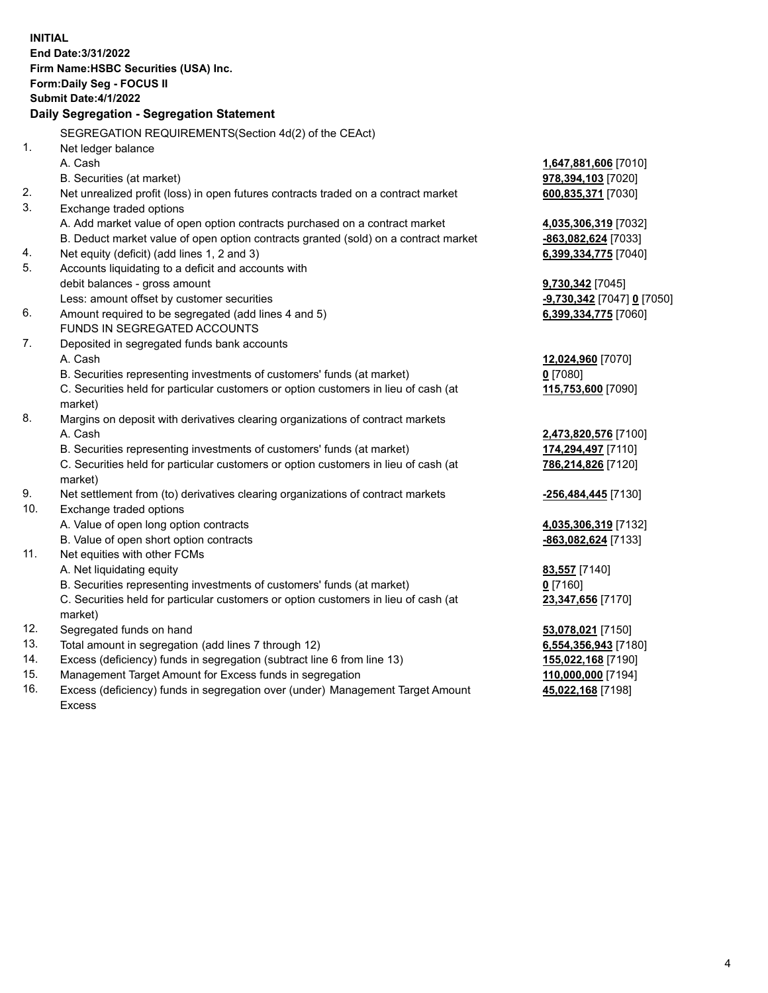| End Date: 3/31/2022<br>Firm Name: HSBC Securities (USA) Inc.<br>Form: Daily Seg - FOCUS II<br><b>Submit Date:4/1/2022</b><br><b>Daily Segregation - Segregation Statement</b><br>SEGREGATION REQUIREMENTS (Section 4d(2) of the CEAct)<br>1.<br>Net ledger balance<br>A. Cash<br>1,647,881,606 [7010]<br>B. Securities (at market)<br>978,394,103 [7020]<br>2.<br>Net unrealized profit (loss) in open futures contracts traded on a contract market<br>600,835,371 [7030]<br>3.<br>Exchange traded options<br>A. Add market value of open option contracts purchased on a contract market<br>4,035,306,319 [7032]<br>B. Deduct market value of open option contracts granted (sold) on a contract market<br>-863,082,624 [7033]<br>4.<br>Net equity (deficit) (add lines 1, 2 and 3)<br>6,399,334,775 [7040]<br>5.<br>Accounts liquidating to a deficit and accounts with<br>debit balances - gross amount<br>9,730,342 [7045]<br>Less: amount offset by customer securities<br>-9,730,342 [7047] 0 [7050]<br>6.<br>Amount required to be segregated (add lines 4 and 5)<br>6,399,334,775 [7060]<br>FUNDS IN SEGREGATED ACCOUNTS<br>7.<br>Deposited in segregated funds bank accounts<br>A. Cash<br>12,024,960 [7070]<br>B. Securities representing investments of customers' funds (at market)<br>$0$ [7080]<br>C. Securities held for particular customers or option customers in lieu of cash (at<br>115,753,600 [7090]<br>market)<br>8.<br>Margins on deposit with derivatives clearing organizations of contract markets<br>A. Cash<br>2,473,820,576 [7100]<br>B. Securities representing investments of customers' funds (at market)<br>174,294,497 [7110]<br>C. Securities held for particular customers or option customers in lieu of cash (at<br>786,214,826 [7120]<br>market)<br>9.<br>Net settlement from (to) derivatives clearing organizations of contract markets<br>-256,484,445 [7130]<br>10.<br>Exchange traded options<br>A. Value of open long option contracts<br>4,035,306,319 [7132]<br>B. Value of open short option contracts<br>-863,082,624 [7133]<br>11.<br>Net equities with other FCMs<br>A. Net liquidating equity<br>83,557 [7140]<br>B. Securities representing investments of customers' funds (at market)<br>$0$ [7160]<br>C. Securities held for particular customers or option customers in lieu of cash (at<br>23,347,656 [7170]<br>market)<br>12.<br>Segregated funds on hand<br>53,078,021 [7150]<br>13.<br>Total amount in segregation (add lines 7 through 12)<br>6,554,356,943 [7180]<br>14.<br>Excess (deficiency) funds in segregation (subtract line 6 from line 13)<br>155,022,168 [7190]<br>15.<br>Management Target Amount for Excess funds in segregation<br>110,000,000 [7194] | <b>INITIAL</b> |  |
|-------------------------------------------------------------------------------------------------------------------------------------------------------------------------------------------------------------------------------------------------------------------------------------------------------------------------------------------------------------------------------------------------------------------------------------------------------------------------------------------------------------------------------------------------------------------------------------------------------------------------------------------------------------------------------------------------------------------------------------------------------------------------------------------------------------------------------------------------------------------------------------------------------------------------------------------------------------------------------------------------------------------------------------------------------------------------------------------------------------------------------------------------------------------------------------------------------------------------------------------------------------------------------------------------------------------------------------------------------------------------------------------------------------------------------------------------------------------------------------------------------------------------------------------------------------------------------------------------------------------------------------------------------------------------------------------------------------------------------------------------------------------------------------------------------------------------------------------------------------------------------------------------------------------------------------------------------------------------------------------------------------------------------------------------------------------------------------------------------------------------------------------------------------------------------------------------------------------------------------------------------------------------------------------------------------------------------------------------------------------------------------------------------------------------------------------------------------------------------------------------------------------------------------------------------------------------------------------------------------------------------------------------------------------------------------------------------------------------------------|----------------|--|
|                                                                                                                                                                                                                                                                                                                                                                                                                                                                                                                                                                                                                                                                                                                                                                                                                                                                                                                                                                                                                                                                                                                                                                                                                                                                                                                                                                                                                                                                                                                                                                                                                                                                                                                                                                                                                                                                                                                                                                                                                                                                                                                                                                                                                                                                                                                                                                                                                                                                                                                                                                                                                                                                                                                                     |                |  |
|                                                                                                                                                                                                                                                                                                                                                                                                                                                                                                                                                                                                                                                                                                                                                                                                                                                                                                                                                                                                                                                                                                                                                                                                                                                                                                                                                                                                                                                                                                                                                                                                                                                                                                                                                                                                                                                                                                                                                                                                                                                                                                                                                                                                                                                                                                                                                                                                                                                                                                                                                                                                                                                                                                                                     |                |  |
|                                                                                                                                                                                                                                                                                                                                                                                                                                                                                                                                                                                                                                                                                                                                                                                                                                                                                                                                                                                                                                                                                                                                                                                                                                                                                                                                                                                                                                                                                                                                                                                                                                                                                                                                                                                                                                                                                                                                                                                                                                                                                                                                                                                                                                                                                                                                                                                                                                                                                                                                                                                                                                                                                                                                     |                |  |
|                                                                                                                                                                                                                                                                                                                                                                                                                                                                                                                                                                                                                                                                                                                                                                                                                                                                                                                                                                                                                                                                                                                                                                                                                                                                                                                                                                                                                                                                                                                                                                                                                                                                                                                                                                                                                                                                                                                                                                                                                                                                                                                                                                                                                                                                                                                                                                                                                                                                                                                                                                                                                                                                                                                                     |                |  |
|                                                                                                                                                                                                                                                                                                                                                                                                                                                                                                                                                                                                                                                                                                                                                                                                                                                                                                                                                                                                                                                                                                                                                                                                                                                                                                                                                                                                                                                                                                                                                                                                                                                                                                                                                                                                                                                                                                                                                                                                                                                                                                                                                                                                                                                                                                                                                                                                                                                                                                                                                                                                                                                                                                                                     |                |  |
|                                                                                                                                                                                                                                                                                                                                                                                                                                                                                                                                                                                                                                                                                                                                                                                                                                                                                                                                                                                                                                                                                                                                                                                                                                                                                                                                                                                                                                                                                                                                                                                                                                                                                                                                                                                                                                                                                                                                                                                                                                                                                                                                                                                                                                                                                                                                                                                                                                                                                                                                                                                                                                                                                                                                     |                |  |
|                                                                                                                                                                                                                                                                                                                                                                                                                                                                                                                                                                                                                                                                                                                                                                                                                                                                                                                                                                                                                                                                                                                                                                                                                                                                                                                                                                                                                                                                                                                                                                                                                                                                                                                                                                                                                                                                                                                                                                                                                                                                                                                                                                                                                                                                                                                                                                                                                                                                                                                                                                                                                                                                                                                                     |                |  |
|                                                                                                                                                                                                                                                                                                                                                                                                                                                                                                                                                                                                                                                                                                                                                                                                                                                                                                                                                                                                                                                                                                                                                                                                                                                                                                                                                                                                                                                                                                                                                                                                                                                                                                                                                                                                                                                                                                                                                                                                                                                                                                                                                                                                                                                                                                                                                                                                                                                                                                                                                                                                                                                                                                                                     |                |  |
|                                                                                                                                                                                                                                                                                                                                                                                                                                                                                                                                                                                                                                                                                                                                                                                                                                                                                                                                                                                                                                                                                                                                                                                                                                                                                                                                                                                                                                                                                                                                                                                                                                                                                                                                                                                                                                                                                                                                                                                                                                                                                                                                                                                                                                                                                                                                                                                                                                                                                                                                                                                                                                                                                                                                     |                |  |
|                                                                                                                                                                                                                                                                                                                                                                                                                                                                                                                                                                                                                                                                                                                                                                                                                                                                                                                                                                                                                                                                                                                                                                                                                                                                                                                                                                                                                                                                                                                                                                                                                                                                                                                                                                                                                                                                                                                                                                                                                                                                                                                                                                                                                                                                                                                                                                                                                                                                                                                                                                                                                                                                                                                                     |                |  |
|                                                                                                                                                                                                                                                                                                                                                                                                                                                                                                                                                                                                                                                                                                                                                                                                                                                                                                                                                                                                                                                                                                                                                                                                                                                                                                                                                                                                                                                                                                                                                                                                                                                                                                                                                                                                                                                                                                                                                                                                                                                                                                                                                                                                                                                                                                                                                                                                                                                                                                                                                                                                                                                                                                                                     |                |  |
|                                                                                                                                                                                                                                                                                                                                                                                                                                                                                                                                                                                                                                                                                                                                                                                                                                                                                                                                                                                                                                                                                                                                                                                                                                                                                                                                                                                                                                                                                                                                                                                                                                                                                                                                                                                                                                                                                                                                                                                                                                                                                                                                                                                                                                                                                                                                                                                                                                                                                                                                                                                                                                                                                                                                     |                |  |
|                                                                                                                                                                                                                                                                                                                                                                                                                                                                                                                                                                                                                                                                                                                                                                                                                                                                                                                                                                                                                                                                                                                                                                                                                                                                                                                                                                                                                                                                                                                                                                                                                                                                                                                                                                                                                                                                                                                                                                                                                                                                                                                                                                                                                                                                                                                                                                                                                                                                                                                                                                                                                                                                                                                                     |                |  |
|                                                                                                                                                                                                                                                                                                                                                                                                                                                                                                                                                                                                                                                                                                                                                                                                                                                                                                                                                                                                                                                                                                                                                                                                                                                                                                                                                                                                                                                                                                                                                                                                                                                                                                                                                                                                                                                                                                                                                                                                                                                                                                                                                                                                                                                                                                                                                                                                                                                                                                                                                                                                                                                                                                                                     |                |  |
|                                                                                                                                                                                                                                                                                                                                                                                                                                                                                                                                                                                                                                                                                                                                                                                                                                                                                                                                                                                                                                                                                                                                                                                                                                                                                                                                                                                                                                                                                                                                                                                                                                                                                                                                                                                                                                                                                                                                                                                                                                                                                                                                                                                                                                                                                                                                                                                                                                                                                                                                                                                                                                                                                                                                     |                |  |
|                                                                                                                                                                                                                                                                                                                                                                                                                                                                                                                                                                                                                                                                                                                                                                                                                                                                                                                                                                                                                                                                                                                                                                                                                                                                                                                                                                                                                                                                                                                                                                                                                                                                                                                                                                                                                                                                                                                                                                                                                                                                                                                                                                                                                                                                                                                                                                                                                                                                                                                                                                                                                                                                                                                                     |                |  |
|                                                                                                                                                                                                                                                                                                                                                                                                                                                                                                                                                                                                                                                                                                                                                                                                                                                                                                                                                                                                                                                                                                                                                                                                                                                                                                                                                                                                                                                                                                                                                                                                                                                                                                                                                                                                                                                                                                                                                                                                                                                                                                                                                                                                                                                                                                                                                                                                                                                                                                                                                                                                                                                                                                                                     |                |  |
|                                                                                                                                                                                                                                                                                                                                                                                                                                                                                                                                                                                                                                                                                                                                                                                                                                                                                                                                                                                                                                                                                                                                                                                                                                                                                                                                                                                                                                                                                                                                                                                                                                                                                                                                                                                                                                                                                                                                                                                                                                                                                                                                                                                                                                                                                                                                                                                                                                                                                                                                                                                                                                                                                                                                     |                |  |
|                                                                                                                                                                                                                                                                                                                                                                                                                                                                                                                                                                                                                                                                                                                                                                                                                                                                                                                                                                                                                                                                                                                                                                                                                                                                                                                                                                                                                                                                                                                                                                                                                                                                                                                                                                                                                                                                                                                                                                                                                                                                                                                                                                                                                                                                                                                                                                                                                                                                                                                                                                                                                                                                                                                                     |                |  |
|                                                                                                                                                                                                                                                                                                                                                                                                                                                                                                                                                                                                                                                                                                                                                                                                                                                                                                                                                                                                                                                                                                                                                                                                                                                                                                                                                                                                                                                                                                                                                                                                                                                                                                                                                                                                                                                                                                                                                                                                                                                                                                                                                                                                                                                                                                                                                                                                                                                                                                                                                                                                                                                                                                                                     |                |  |
|                                                                                                                                                                                                                                                                                                                                                                                                                                                                                                                                                                                                                                                                                                                                                                                                                                                                                                                                                                                                                                                                                                                                                                                                                                                                                                                                                                                                                                                                                                                                                                                                                                                                                                                                                                                                                                                                                                                                                                                                                                                                                                                                                                                                                                                                                                                                                                                                                                                                                                                                                                                                                                                                                                                                     |                |  |
|                                                                                                                                                                                                                                                                                                                                                                                                                                                                                                                                                                                                                                                                                                                                                                                                                                                                                                                                                                                                                                                                                                                                                                                                                                                                                                                                                                                                                                                                                                                                                                                                                                                                                                                                                                                                                                                                                                                                                                                                                                                                                                                                                                                                                                                                                                                                                                                                                                                                                                                                                                                                                                                                                                                                     |                |  |
|                                                                                                                                                                                                                                                                                                                                                                                                                                                                                                                                                                                                                                                                                                                                                                                                                                                                                                                                                                                                                                                                                                                                                                                                                                                                                                                                                                                                                                                                                                                                                                                                                                                                                                                                                                                                                                                                                                                                                                                                                                                                                                                                                                                                                                                                                                                                                                                                                                                                                                                                                                                                                                                                                                                                     |                |  |
|                                                                                                                                                                                                                                                                                                                                                                                                                                                                                                                                                                                                                                                                                                                                                                                                                                                                                                                                                                                                                                                                                                                                                                                                                                                                                                                                                                                                                                                                                                                                                                                                                                                                                                                                                                                                                                                                                                                                                                                                                                                                                                                                                                                                                                                                                                                                                                                                                                                                                                                                                                                                                                                                                                                                     |                |  |
|                                                                                                                                                                                                                                                                                                                                                                                                                                                                                                                                                                                                                                                                                                                                                                                                                                                                                                                                                                                                                                                                                                                                                                                                                                                                                                                                                                                                                                                                                                                                                                                                                                                                                                                                                                                                                                                                                                                                                                                                                                                                                                                                                                                                                                                                                                                                                                                                                                                                                                                                                                                                                                                                                                                                     |                |  |
|                                                                                                                                                                                                                                                                                                                                                                                                                                                                                                                                                                                                                                                                                                                                                                                                                                                                                                                                                                                                                                                                                                                                                                                                                                                                                                                                                                                                                                                                                                                                                                                                                                                                                                                                                                                                                                                                                                                                                                                                                                                                                                                                                                                                                                                                                                                                                                                                                                                                                                                                                                                                                                                                                                                                     |                |  |
|                                                                                                                                                                                                                                                                                                                                                                                                                                                                                                                                                                                                                                                                                                                                                                                                                                                                                                                                                                                                                                                                                                                                                                                                                                                                                                                                                                                                                                                                                                                                                                                                                                                                                                                                                                                                                                                                                                                                                                                                                                                                                                                                                                                                                                                                                                                                                                                                                                                                                                                                                                                                                                                                                                                                     |                |  |
|                                                                                                                                                                                                                                                                                                                                                                                                                                                                                                                                                                                                                                                                                                                                                                                                                                                                                                                                                                                                                                                                                                                                                                                                                                                                                                                                                                                                                                                                                                                                                                                                                                                                                                                                                                                                                                                                                                                                                                                                                                                                                                                                                                                                                                                                                                                                                                                                                                                                                                                                                                                                                                                                                                                                     |                |  |
|                                                                                                                                                                                                                                                                                                                                                                                                                                                                                                                                                                                                                                                                                                                                                                                                                                                                                                                                                                                                                                                                                                                                                                                                                                                                                                                                                                                                                                                                                                                                                                                                                                                                                                                                                                                                                                                                                                                                                                                                                                                                                                                                                                                                                                                                                                                                                                                                                                                                                                                                                                                                                                                                                                                                     |                |  |
|                                                                                                                                                                                                                                                                                                                                                                                                                                                                                                                                                                                                                                                                                                                                                                                                                                                                                                                                                                                                                                                                                                                                                                                                                                                                                                                                                                                                                                                                                                                                                                                                                                                                                                                                                                                                                                                                                                                                                                                                                                                                                                                                                                                                                                                                                                                                                                                                                                                                                                                                                                                                                                                                                                                                     |                |  |
|                                                                                                                                                                                                                                                                                                                                                                                                                                                                                                                                                                                                                                                                                                                                                                                                                                                                                                                                                                                                                                                                                                                                                                                                                                                                                                                                                                                                                                                                                                                                                                                                                                                                                                                                                                                                                                                                                                                                                                                                                                                                                                                                                                                                                                                                                                                                                                                                                                                                                                                                                                                                                                                                                                                                     |                |  |
|                                                                                                                                                                                                                                                                                                                                                                                                                                                                                                                                                                                                                                                                                                                                                                                                                                                                                                                                                                                                                                                                                                                                                                                                                                                                                                                                                                                                                                                                                                                                                                                                                                                                                                                                                                                                                                                                                                                                                                                                                                                                                                                                                                                                                                                                                                                                                                                                                                                                                                                                                                                                                                                                                                                                     |                |  |
|                                                                                                                                                                                                                                                                                                                                                                                                                                                                                                                                                                                                                                                                                                                                                                                                                                                                                                                                                                                                                                                                                                                                                                                                                                                                                                                                                                                                                                                                                                                                                                                                                                                                                                                                                                                                                                                                                                                                                                                                                                                                                                                                                                                                                                                                                                                                                                                                                                                                                                                                                                                                                                                                                                                                     |                |  |
|                                                                                                                                                                                                                                                                                                                                                                                                                                                                                                                                                                                                                                                                                                                                                                                                                                                                                                                                                                                                                                                                                                                                                                                                                                                                                                                                                                                                                                                                                                                                                                                                                                                                                                                                                                                                                                                                                                                                                                                                                                                                                                                                                                                                                                                                                                                                                                                                                                                                                                                                                                                                                                                                                                                                     |                |  |
|                                                                                                                                                                                                                                                                                                                                                                                                                                                                                                                                                                                                                                                                                                                                                                                                                                                                                                                                                                                                                                                                                                                                                                                                                                                                                                                                                                                                                                                                                                                                                                                                                                                                                                                                                                                                                                                                                                                                                                                                                                                                                                                                                                                                                                                                                                                                                                                                                                                                                                                                                                                                                                                                                                                                     |                |  |
|                                                                                                                                                                                                                                                                                                                                                                                                                                                                                                                                                                                                                                                                                                                                                                                                                                                                                                                                                                                                                                                                                                                                                                                                                                                                                                                                                                                                                                                                                                                                                                                                                                                                                                                                                                                                                                                                                                                                                                                                                                                                                                                                                                                                                                                                                                                                                                                                                                                                                                                                                                                                                                                                                                                                     |                |  |
|                                                                                                                                                                                                                                                                                                                                                                                                                                                                                                                                                                                                                                                                                                                                                                                                                                                                                                                                                                                                                                                                                                                                                                                                                                                                                                                                                                                                                                                                                                                                                                                                                                                                                                                                                                                                                                                                                                                                                                                                                                                                                                                                                                                                                                                                                                                                                                                                                                                                                                                                                                                                                                                                                                                                     |                |  |
|                                                                                                                                                                                                                                                                                                                                                                                                                                                                                                                                                                                                                                                                                                                                                                                                                                                                                                                                                                                                                                                                                                                                                                                                                                                                                                                                                                                                                                                                                                                                                                                                                                                                                                                                                                                                                                                                                                                                                                                                                                                                                                                                                                                                                                                                                                                                                                                                                                                                                                                                                                                                                                                                                                                                     |                |  |
|                                                                                                                                                                                                                                                                                                                                                                                                                                                                                                                                                                                                                                                                                                                                                                                                                                                                                                                                                                                                                                                                                                                                                                                                                                                                                                                                                                                                                                                                                                                                                                                                                                                                                                                                                                                                                                                                                                                                                                                                                                                                                                                                                                                                                                                                                                                                                                                                                                                                                                                                                                                                                                                                                                                                     |                |  |
|                                                                                                                                                                                                                                                                                                                                                                                                                                                                                                                                                                                                                                                                                                                                                                                                                                                                                                                                                                                                                                                                                                                                                                                                                                                                                                                                                                                                                                                                                                                                                                                                                                                                                                                                                                                                                                                                                                                                                                                                                                                                                                                                                                                                                                                                                                                                                                                                                                                                                                                                                                                                                                                                                                                                     |                |  |

16. Excess (deficiency) funds in segregation over (under) Management Target Amount Excess

**45,022,168** [7198]